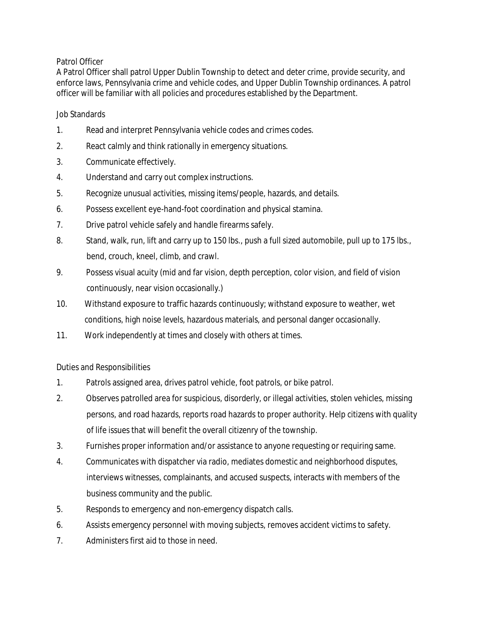## Patrol Officer

A Patrol Officer shall patrol Upper Dublin Township to detect and deter crime, provide security, and enforce laws, Pennsylvania crime and vehicle codes, and Upper Dublin Township ordinances. A patrol officer will be familiar with all policies and procedures established by the Department.

## Job Standards

- 1. Read and interpret Pennsylvania vehicle codes and crimes codes.
- 2. React calmly and think rationally in emergency situations.
- 3. Communicate effectively.
- 4. Understand and carry out complex instructions.
- 5. Recognize unusual activities, missing items/people, hazards, and details.
- 6. Possess excellent eye-hand-foot coordination and physical stamina.
- 7. Drive patrol vehicle safely and handle firearms safely.
- 8. Stand, walk, run, lift and carry up to 150 lbs., push a full sized automobile, pull up to 175 lbs., bend, crouch, kneel, climb, and crawl.
- 9. Possess visual acuity (mid and far vision, depth perception, color vision, and field of vision continuously, near vision occasionally.)
- 10. Withstand exposure to traffic hazards continuously; withstand exposure to weather, wet conditions, high noise levels, hazardous materials, and personal danger occasionally.
- 11. Work independently at times and closely with others at times.

## Duties and Responsibilities

- 1. Patrols assigned area, drives patrol vehicle, foot patrols, or bike patrol.
- 2. Observes patrolled area for suspicious, disorderly, or illegal activities, stolen vehicles, missing persons, and road hazards, reports road hazards to proper authority. Help citizens with quality of life issues that will benefit the overall citizenry of the township.
- 3. Furnishes proper information and/or assistance to anyone requesting or requiring same.
- 4. Communicates with dispatcher via radio, mediates domestic and neighborhood disputes, interviews witnesses, complainants, and accused suspects, interacts with members of the business community and the public.
- 5. Responds to emergency and non-emergency dispatch calls.
- 6. Assists emergency personnel with moving subjects, removes accident victims to safety.
- 7. Administers first aid to those in need.